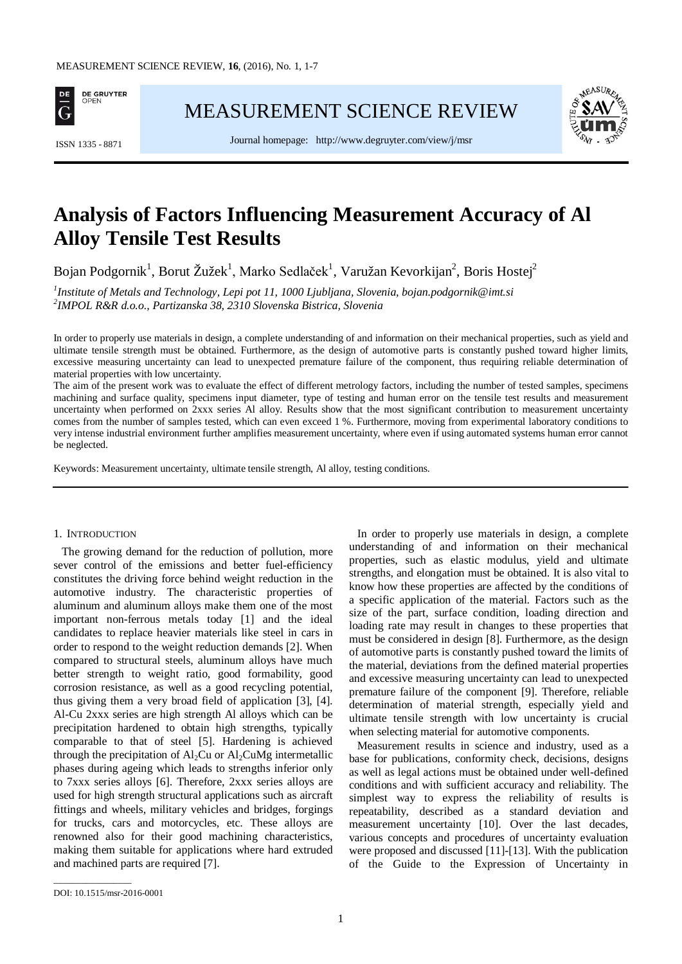

[MEASUREMENT SCIENCE REVIEW](http://www.measurement.sk/)



Journal homepage: <http://www.degruyter.com/view/j/msr> ISSN 1335 - <sup>8871</sup>

# **Analysis of Factors Influencing Measurement Accuracy of Al Alloy Tensile Test Results**

Bojan Podgornik $^1$ , Borut Žužek $^1$ , Marko Sedlaček $^1$ , Varužan Kevorkijan $^2$ , Boris Hostej $^2$ 

*1 Institute of Metals and Technology, Lepi pot 11, 1000 Ljubljana, Slovenia, bojan.podgornik@imt.si <sup>2</sup> IMPOL R&R d.o.o., Partizanska 38, 2310 Slovenska Bistrica, Slovenia*

In order to properly use materials in design, a complete understanding of and information on their mechanical properties, such as yield and ultimate tensile strength must be obtained. Furthermore, as the design of automotive parts is constantly pushed toward higher limits, excessive measuring uncertainty can lead to unexpected premature failure of the component, thus requiring reliable determination of material properties with low uncertainty.

The aim of the present work was to evaluate the effect of different metrology factors, including the number of tested samples, specimens machining and surface quality, specimens input diameter, type of testing and human error on the tensile test results and measurement uncertainty when performed on 2xxx series Al alloy. Results show that the most significant contribution to measurement uncertainty comes from the number of samples tested, which can even exceed 1 %. Furthermore, moving from experimental laboratory conditions to very intense industrial environment further amplifies measurement uncertainty, where even if using automated systems human error cannot be neglected.

Keywords: Measurement uncertainty, ultimate tensile strength, Al alloy, testing conditions.

#### 1. INTRODUCTION

The growing demand for the reduction of pollution, more sever control of the emissions and better fuel-efficiency constitutes the driving force behind weight reduction in the automotive industry. The characteristic properties of aluminum and aluminum alloys make them one of the most important non-ferrous metals today [1] and the ideal candidates to replace heavier materials like steel in cars in order to respond to the weight reduction demands [2]. When compared to structural steels, aluminum alloys have much better strength to weight ratio, good formability, good corrosion resistance, as well as a good recycling potential, thus giving them a very broad field of application [3], [4]. Al-Cu 2xxx series are high strength Al alloys which can be precipitation hardened to obtain high strengths, typically comparable to that of steel [5]. Hardening is achieved through the precipitation of  $Al_2Cu$  or  $Al_2CuMg$  intermetallic phases during ageing which leads to strengths inferior only to 7xxx series alloys [6]. Therefore, 2xxx series alloys are used for high strength structural applications such as aircraft fittings and wheels, military vehicles and bridges, forgings for trucks, cars and motorcycles, etc. These alloys are renowned also for their good machining characteristics, making them suitable for applications where hard extruded and machined parts are required [7].

In order to properly use materials in design, a complete understanding of and information on their mechanical properties, such as elastic modulus, yield and ultimate strengths, and elongation must be obtained. It is also vital to know how these properties are affected by the conditions of a specific application of the material. Factors such as the size of the part, surface condition, loading direction and loading rate may result in changes to these properties that must be considered in design [8]. Furthermore, as the design of automotive parts is constantly pushed toward the limits of the material, deviations from the defined material properties and excessive measuring uncertainty can lead to unexpected premature failure of the component [9]. Therefore, reliable determination of material strength, especially yield and ultimate tensile strength with low uncertainty is crucial when selecting material for automotive components.

Measurement results in science and industry, used as a base for publications, conformity check, decisions, designs as well as legal actions must be obtained under well-defined conditions and with sufficient accuracy and reliability. The simplest way to express the reliability of results is repeatability, described as a standard deviation and measurement uncertainty [10]. Over the last decades, various concepts and procedures of uncertainty evaluation were proposed and discussed [11]-[13]. With the publication of the Guide to the Expression of Uncertainty in

\_\_\_\_\_\_\_\_\_\_\_\_\_\_\_\_\_

DOI: 10.1515/msr-2016-0001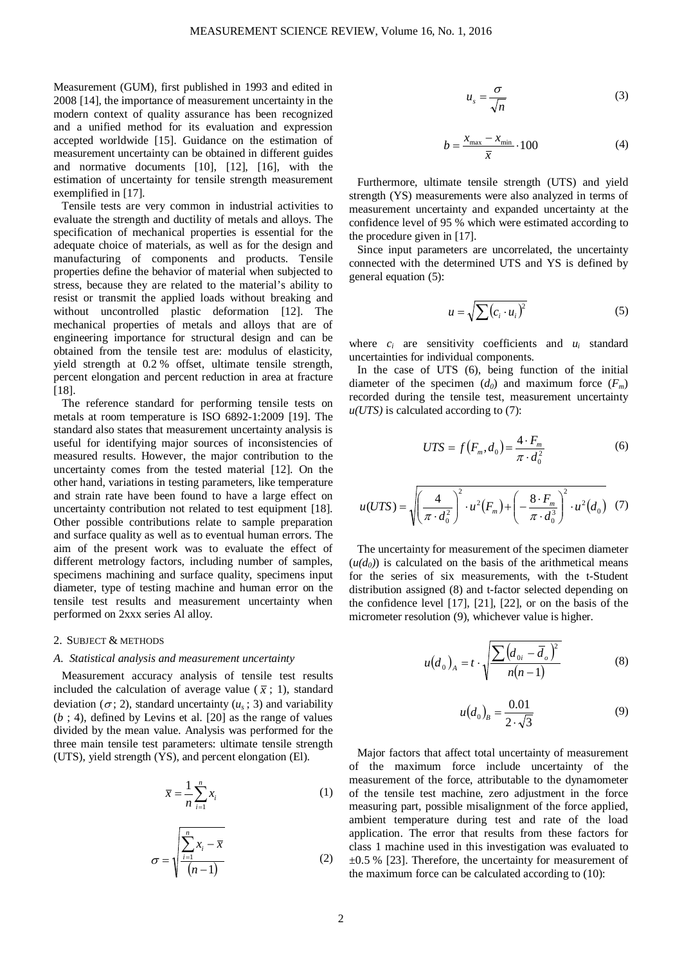Measurement (GUM), first published in 1993 and edited in 2008 [14], the importance of measurement uncertainty in the modern context of quality assurance has been recognized and a unified method for its evaluation and expression accepted worldwide [15]. Guidance on the estimation of measurement uncertainty can be obtained in different guides and normative documents [10], [12], [16], with the estimation of uncertainty for tensile strength measurement exemplified in [17].

Tensile tests are very common in industrial activities to evaluate the strength and ductility of metals and alloys. The specification of mechanical properties is essential for the adequate choice of materials, as well as for the design and manufacturing of components and products. Tensile properties define the behavior of material when subjected to stress, because they are related to the material's ability to resist or transmit the applied loads without breaking and without uncontrolled plastic deformation [12]. The mechanical properties of metals and alloys that are of engineering importance for structural design and can be obtained from the tensile test are: modulus of elasticity, yield strength at 0.2 % offset, ultimate tensile strength, percent elongation and percent reduction in area at fracture [18].

The reference standard for performing tensile tests on metals at room temperature is ISO 6892-1:2009 [19]. The standard also states that measurement uncertainty analysis is useful for identifying major sources of inconsistencies of measured results. However, the major contribution to the uncertainty comes from the tested material [12]. On the other hand, variations in testing parameters, like temperature and strain rate have been found to have a large effect on uncertainty contribution not related to test equipment [18]. Other possible contributions relate to sample preparation and surface quality as well as to eventual human errors. The aim of the present work was to evaluate the effect of different metrology factors, including number of samples, specimens machining and surface quality, specimens input diameter, type of testing machine and human error on the tensile test results and measurement uncertainty when performed on 2xxx series Al alloy.

# 2. SUBJECT & METHODS

#### *A. Statistical analysis and measurement uncertainty*

Measurement accuracy analysis of tensile test results included the calculation of average value ( $\bar{x}$ ; 1), standard deviation ( $\sigma$ ; 2), standard uncertainty ( $u_s$ ; 3) and variability (*b* ; 4), defined by Levins et al. [20] as the range of values divided by the mean value. Analysis was performed for the three main tensile test parameters: ultimate tensile strength (UTS), yield strength (YS), and percent elongation (El).

$$
\overline{x} = \frac{1}{n} \sum_{i=1}^{n} x_i
$$
 (1)

$$
\sigma = \sqrt{\frac{\sum_{i=1}^{n} x_i - \overline{x}}{(n-1)}}
$$
 (2)

$$
u_s = \frac{\sigma}{\sqrt{n}}\tag{3}
$$

$$
b = \frac{x_{\text{max}} - x_{\text{min}}}{\overline{x}} \cdot 100\tag{4}
$$

Furthermore, ultimate tensile strength (UTS) and yield strength (YS) measurements were also analyzed in terms of measurement uncertainty and expanded uncertainty at the confidence level of 95 % which were estimated according to the procedure given in [17].

Since input parameters are uncorrelated, the uncertainty connected with the determined UTS and YS is defined by general equation (5):

$$
u = \sqrt{\sum (c_i \cdot u_i)^2} \tag{5}
$$

where  $c_i$  are sensitivity coefficients and  $u_i$  standard uncertainties for individual components.

In the case of UTS (6), being function of the initial diameter of the specimen  $(d_0)$  and maximum force  $(F_m)$ recorded during the tensile test, measurement uncertainty *u(UTS)* is calculated according to (7):

$$
UTS = f(F_m, d_0) = \frac{4 \cdot F_m}{\pi \cdot d_0^2}
$$
 (6)

$$
u(UTS) = \sqrt{\left(\frac{4}{\pi \cdot d_0^2}\right)^2 \cdot u^2(F_m) + \left(-\frac{8 \cdot F_m}{\pi \cdot d_0^3}\right)^2 \cdot u^2(G_0)} \quad (7)
$$

The uncertainty for measurement of the specimen diameter  $(u(d_0))$  is calculated on the basis of the arithmetical means for the series of six measurements, with the t-Student distribution assigned (8) and t-factor selected depending on the confidence level [17], [21], [22], or on the basis of the micrometer resolution (9), whichever value is higher.

$$
u(d_0)_A = t \cdot \sqrt{\frac{\sum (d_{0i} - \overline{d}_o)^2}{n(n-1)}} \tag{8}
$$

$$
u(d_0)_B = \frac{0.01}{2 \cdot \sqrt{3}}
$$
 (9)

Major factors that affect total uncertainty of measurement of the maximum force include uncertainty of the measurement of the force, attributable to the dynamometer of the tensile test machine, zero adjustment in the force measuring part, possible misalignment of the force applied, ambient temperature during test and rate of the load application. The error that results from these factors for class 1 machine used in this investigation was evaluated to  $\pm 0.5$  % [23]. Therefore, the uncertainty for measurement of the maximum force can be calculated according to (10):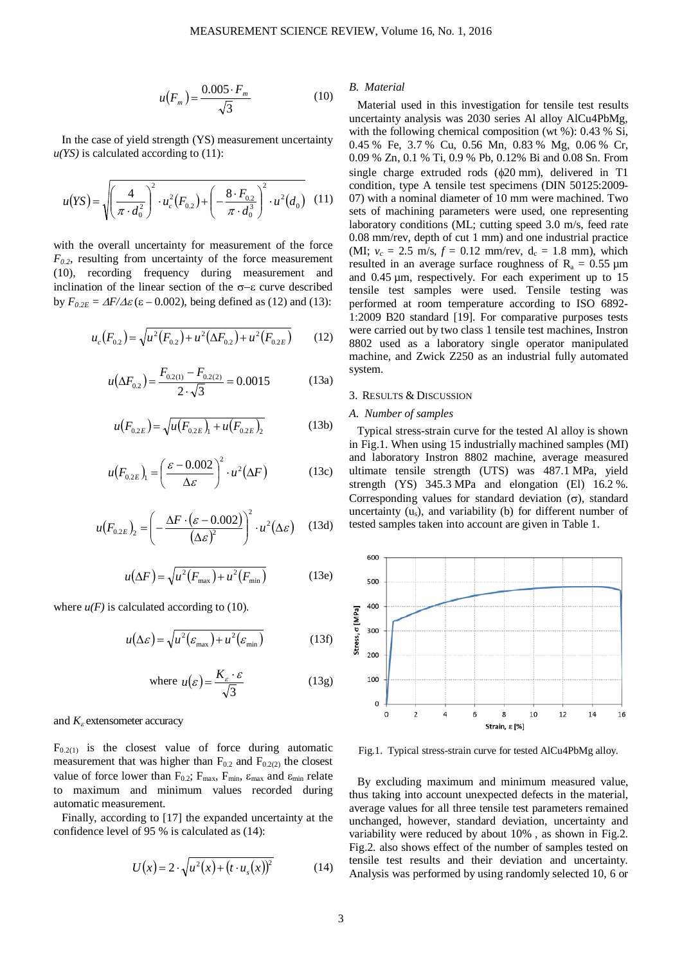$$
u(F_m) = \frac{0.005 \cdot F_m}{\sqrt{3}} \tag{10}
$$

In the case of yield strength (YS) measurement uncertainty  $u(YS)$  is calculated according to  $(11)$ :

$$
u(YS) = \sqrt{\left(\frac{4}{\pi \cdot d_0^2}\right)^2 \cdot u_c^2(F_{0.2}) + \left(-\frac{8 \cdot F_{0.2}}{\pi \cdot d_0^3}\right)^2 \cdot u^2(d_0)}
$$
(11)

with the overall uncertainty for measurement of the force  $F_{0,2}$ , resulting from uncertainty of the force measurement (10), recording frequency during measurement and inclination of the linear section of the σ−ε curve described by  $F_{0.2E} = \Delta F / \Delta \varepsilon$  (ε – 0.002), being defined as (12) and (13):

$$
u_c(F_{0.2}) = \sqrt{u^2(F_{0.2}) + u^2(\Delta F_{0.2}) + u^2(F_{0.2E})}
$$
 (12)

$$
u(\Delta F_{0.2}) = \frac{F_{0.2(1)} - F_{0.2(2)}}{2 \cdot \sqrt{3}} = 0.0015
$$
 (13a)

$$
u(F_{0.2E}) = \sqrt{u(F_{0.2E})_1 + u(F_{0.2E})_2}
$$
 (13b)

$$
u(F_{0.2E})_1 = \left(\frac{\varepsilon - 0.002}{\Delta \varepsilon}\right)^2 \cdot u^2(\Delta F) \tag{13c}
$$

$$
u(F_{0.2E})_2 = \left(-\frac{\Delta F \cdot (\varepsilon - 0.002)}{(\Delta \varepsilon)^2}\right)^2 \cdot u^2(\Delta \varepsilon) \quad (13d)
$$

$$
u(\Delta F) = \sqrt{u^2(F_{\text{max}}) + u^2(F_{\text{min}})}
$$
 (13e)

where  $u(F)$  is calculated according to (10).

$$
u(\Delta \varepsilon) = \sqrt{u^2(\varepsilon_{\text{max}}) + u^2(\varepsilon_{\text{min}})}
$$
 (13f)

where 
$$
u(\varepsilon) = \frac{K_{\varepsilon} \cdot \varepsilon}{\sqrt{3}}
$$
 (13g)

#### and  $K_{\varepsilon}$  extensometer accuracy

 $F_{0.2(1)}$  is the closest value of force during automatic measurement that was higher than  $F_{0,2}$  and  $F_{0,2(2)}$  the closest value of force lower than  $F_{0.2}$ ;  $F_{\text{max}}$ ,  $F_{\text{min}}$ ,  $\varepsilon_{\text{max}}$  and  $\varepsilon_{\text{min}}$  relate to maximum and minimum values recorded during automatic measurement.

Finally, according to [17] the expanded uncertainty at the confidence level of 95 % is calculated as (14):

$$
U(x) = 2 \cdot \sqrt{u^2(x) + (t \cdot u_s(x))^2}
$$
 (14)

*B. Material*

Material used in this investigation for tensile test results uncertainty analysis was 2030 series Al alloy AlCu4PbMg, with the following chemical composition (wt %): 0.43 % Si, 0.45 % Fe, 3.7 % Cu, 0.56 Mn, 0.83 % Mg, 0.06 % Cr, 0.09 % Zn, 0.1 % Ti, 0.9 % Pb, 0.12% Bi and 0.08 Sn. From single charge extruded rods (φ20 mm), delivered in T1 condition, type A tensile test specimens (DIN 50125:2009- 07) with a nominal diameter of 10 mm were machined. Two sets of machining parameters were used, one representing laboratory conditions (ML; cutting speed 3.0 m/s, feed rate 0.08 mm/rev, depth of cut 1 mm) and one industrial practice (MI;  $v_c = 2.5$  m/s,  $f = 0.12$  mm/rev,  $d_c = 1.8$  mm), which resulted in an average surface roughness of  $R_a = 0.55 \mu m$ and 0.45 µm, respectively. For each experiment up to 15 tensile test samples were used. Tensile testing was performed at room temperature according to ISO 6892- 1:2009 B20 standard [19]. For comparative purposes tests were carried out by two class 1 tensile test machines, Instron 8802 used as a laboratory single operator manipulated machine, and Zwick Z250 as an industrial fully automated system.

## 3. RESULTS & DISCUSSION

#### *A. Number of samples*

Typical stress-strain curve for the tested Al alloy is shown in Fig.1. When using 15 industrially machined samples (MI) and laboratory Instron 8802 machine, average measured ultimate tensile strength (UTS) was 487.1 MPa, yield strength (YS) 345.3 MPa and elongation (El) 16.2 %. Corresponding values for standard deviation  $(\sigma)$ , standard uncertainty  $(u_s)$ , and variability (b) for different number of tested samples taken into account are given in Table 1.



Fig.1. Typical stress-strain curve for tested AlCu4PbMg alloy.

By excluding maximum and minimum measured value, thus taking into account unexpected defects in the material, average values for all three tensile test parameters remained unchanged, however, standard deviation, uncertainty and variability were reduced by about 10% , as shown in Fig.2. Fig.2. also shows effect of the number of samples tested on tensile test results and their deviation and uncertainty. Analysis was performed by using randomly selected 10, 6 or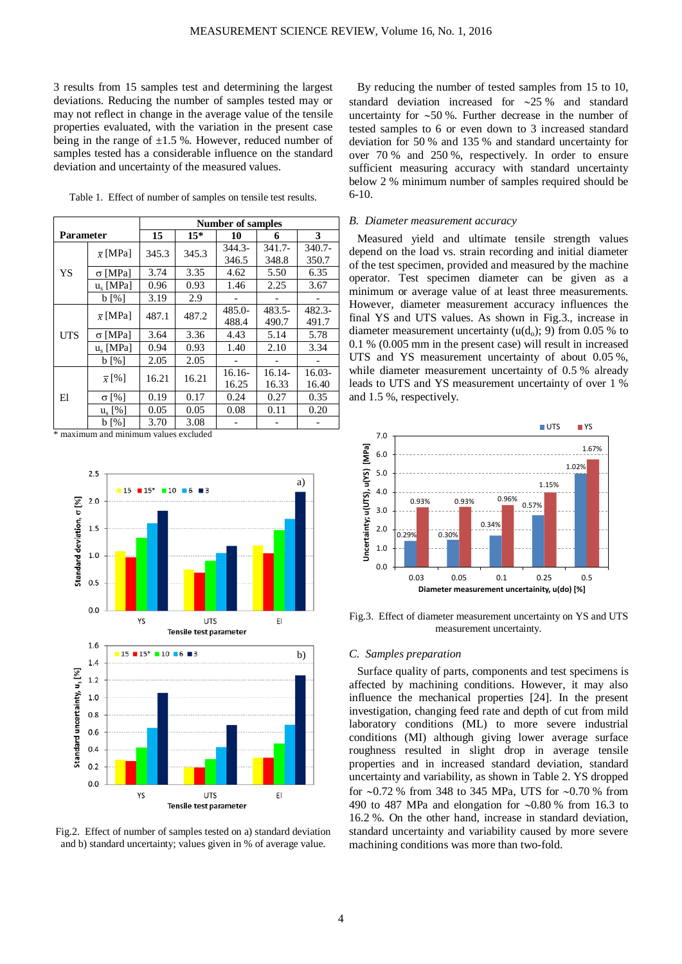3 results from 15 samples test and determining the largest deviations. Reducing the number of samples tested may or may not reflect in change in the average value of the tensile properties evaluated, with the variation in the present case being in the range of  $\pm 1.5$  %. However, reduced number of samples tested has a considerable influence on the standard deviation and uncertainty of the measured values.

|  |  |  |  |  |  | Table 1. Effect of number of samples on tensile test results. |
|--|--|--|--|--|--|---------------------------------------------------------------|
|--|--|--|--|--|--|---------------------------------------------------------------|

|                  |                       | <b>Number of samples</b> |       |           |           |           |
|------------------|-----------------------|--------------------------|-------|-----------|-----------|-----------|
| <b>Parameter</b> |                       | 15                       | $15*$ | 10        | 6         | 3         |
| YS               | $\bar{x}$ [MPa]       | 345.3                    | 345.3 | $344.3 -$ | $341.7 -$ | 340.7-    |
|                  |                       |                          |       | 346.5     | 348.8     | 350.7     |
|                  | $\sigma$ [MPa]        | 3.74                     | 3.35  | 4.62      | 5.50      | 6.35      |
|                  | $u_s$ [MPa]           | 0.96                     | 0.93  | 1.46      | 2.25      | 3.67      |
|                  | $b \left[ \% \right]$ | 3.19                     | 2.9   |           |           |           |
|                  | $\bar{x}$ [MPa]       | 487.1                    | 487.2 | $485.0 -$ | $483.5 -$ | $482.3 -$ |
|                  |                       |                          |       | 488.4     | 490.7     | 491.7     |
| <b>UTS</b>       | $\sigma$ [MPa]        | 3.64                     | 3.36  | 4.43      | 5.14      | 5.78      |
|                  | $u_{s}$ [MPa]         | 0.94                     | 0.93  | 1.40      | 2.10      | 3.34      |
|                  | $b \left[ \% \right]$ | 2.05                     | 2.05  |           |           |           |
| El               | $\overline{x}$ [%]    | 16.21                    | 16.21 | 16.16-    | 16.14-    | $16.03-$  |
|                  |                       |                          |       | 16.25     | 16.33     | 16.40     |
|                  | $\sigma$ [%]          | 0.19                     | 0.17  | 0.24      | 0.27      | 0.35      |
|                  | $u_s$ [%]             | 0.05                     | 0.05  | 0.08      | 0.11      | 0.20      |
|                  | $b \left[ \% \right]$ | 3.70                     | 3.08  |           |           |           |

\* maximum and minimum values excluded



Fig.2. Effect of number of samples tested on a) standard deviation and b) standard uncertainty; values given in % of average value.

By reducing the number of tested samples from 15 to 10, standard deviation increased for ∼25 % and standard uncertainty for ∼50 %. Further decrease in the number of tested samples to 6 or even down to 3 increased standard deviation for 50 % and 135 % and standard uncertainty for over 70 % and 250 %, respectively. In order to ensure sufficient measuring accuracy with standard uncertainty below 2 % minimum number of samples required should be 6-10.

## *B. Diameter measurement accuracy*

Measured yield and ultimate tensile strength values depend on the load vs. strain recording and initial diameter of the test specimen, provided and measured by the machine operator. Test specimen diameter can be given as a minimum or average value of at least three measurements. However, diameter measurement accuracy influences the final YS and UTS values. As shown in Fig.3., increase in diameter measurement uncertainty  $(u(d_0); 9)$  from 0.05 % to 0.1 % (0.005 mm in the present case) will result in increased UTS and YS measurement uncertainty of about 0.05 %, while diameter measurement uncertainty of 0.5 % already leads to UTS and YS measurement uncertainty of over 1 % and 1.5 %, respectively.



Fig.3. Effect of diameter measurement uncertainty on YS and UTS measurement uncertainty.

# *C. Samples preparation*

Surface quality of parts, components and test specimens is affected by machining conditions. However, it may also influence the mechanical properties [24]. In the present investigation, changing feed rate and depth of cut from mild laboratory conditions (ML) to more severe industrial conditions (MI) although giving lower average surface roughness resulted in slight drop in average tensile properties and in increased standard deviation, standard uncertainty and variability, as shown in Table 2. YS dropped for ∼0.72 % from 348 to 345 MPa, UTS for ∼0.70 % from 490 to 487 MPa and elongation for ∼0.80 % from 16.3 to 16.2 %. On the other hand, increase in standard deviation, standard uncertainty and variability caused by more severe machining conditions was more than two-fold.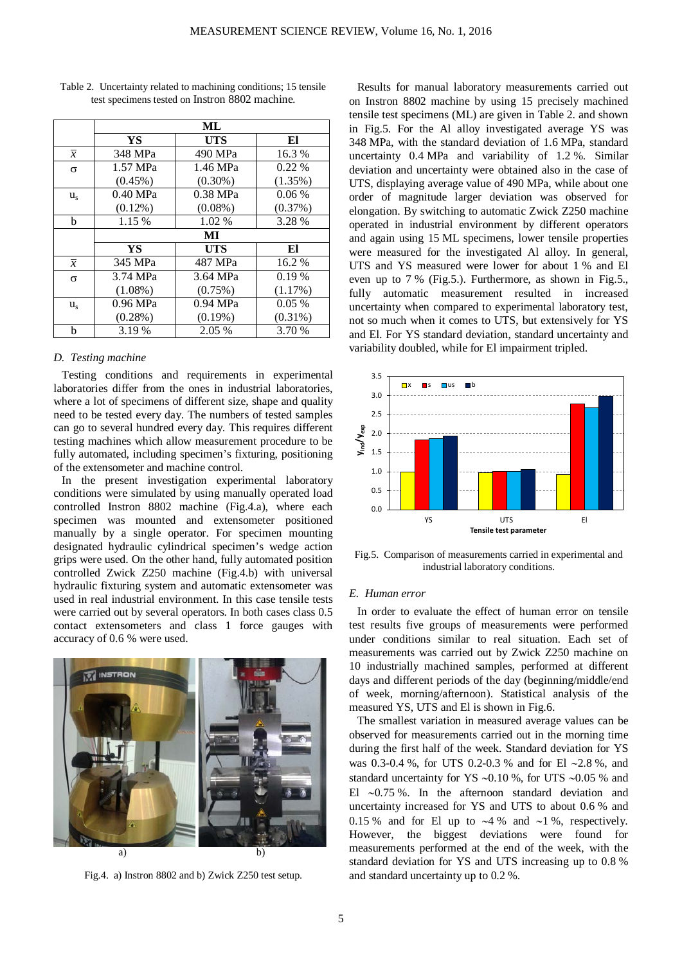|                | ML         |            |            |  |
|----------------|------------|------------|------------|--|
|                | YS         | <b>UTS</b> | El         |  |
| $\overline{x}$ | 348 MPa    | 490 MPa    | 16.3%      |  |
| σ              | 1.57 MPa   | 1.46 MPa   | $0.22\%$   |  |
|                | $(0.45\%)$ | $(0.30\%)$ | (1.35%)    |  |
| $u_{s}$        | $0.40$ MPa | 0.38 MPa   | 0.06%      |  |
|                | $(0.12\%)$ | $(0.08\%)$ | (0.37%)    |  |
| h              | 1.15 %     | 1.02 %     | 3.28 %     |  |
|                | MI         |            |            |  |
|                | YS         | <b>UTS</b> | El         |  |
| $\overline{x}$ | 345 MPa    | 487 MPa    | 16.2 %     |  |
| $\sigma$       | 3.74 MPa   | 3.64 MPa   | 0.19%      |  |
|                | $(1.08\%)$ | (0.75%)    | (1.17%)    |  |
| $u_{s}$        | $0.96$ MPa | $0.94$ MPa | 0.05%      |  |
|                | $(0.28\%)$ | $(0.19\%)$ | $(0.31\%)$ |  |
| b              | 3.19 %     | 2.05 %     | 3.70 %     |  |

Table 2. Uncertainty related to machining conditions; 15 tensile test specimens tested on Instron 8802 machine.

# *D. Testing machine*

Testing conditions and requirements in experimental laboratories differ from the ones in industrial laboratories, where a lot of specimens of different size, shape and quality need to be tested every day. The numbers of tested samples can go to several hundred every day. This requires different testing machines which allow measurement procedure to be fully automated, including specimen's fixturing, positioning of the extensometer and machine control.

In the present investigation experimental laboratory conditions were simulated by using manually operated load controlled Instron 8802 machine (Fig.4.a), where each specimen was mounted and extensometer positioned manually by a single operator. For specimen mounting designated hydraulic cylindrical specimen's wedge action grips were used. On the other hand, fully automated position controlled Zwick Z250 machine (Fig.4.b) with universal hydraulic fixturing system and automatic extensometer was used in real industrial environment. In this case tensile tests were carried out by several operators. In both cases class 0.5 contact extensometers and class 1 force gauges with accuracy of 0.6 % were used.



Fig.4. a) Instron 8802 and b) Zwick Z250 test setup.

Results for manual laboratory measurements carried out on Instron 8802 machine by using 15 precisely machined tensile test specimens (ML) are given in Table 2. and shown in Fig.5. For the Al alloy investigated average YS was 348 MPa, with the standard deviation of 1.6 MPa, standard uncertainty 0.4 MPa and variability of 1.2 %. Similar deviation and uncertainty were obtained also in the case of UTS, displaying average value of 490 MPa, while about one order of magnitude larger deviation was observed for elongation. By switching to automatic Zwick Z250 machine operated in industrial environment by different operators and again using 15 ML specimens, lower tensile properties were measured for the investigated Al alloy. In general, UTS and YS measured were lower for about 1 % and El even up to 7 % (Fig.5.). Furthermore, as shown in Fig.5., fully automatic measurement resulted in increased uncertainty when compared to experimental laboratory test, not so much when it comes to UTS, but extensively for YS and El. For YS standard deviation, standard uncertainty and variability doubled, while for El impairment tripled.



Fig.5. Comparison of measurements carried in experimental and industrial laboratory conditions.

## *E. Human error*

In order to evaluate the effect of human error on tensile test results five groups of measurements were performed under conditions similar to real situation. Each set of measurements was carried out by Zwick Z250 machine on 10 industrially machined samples, performed at different days and different periods of the day (beginning/middle/end of week, morning/afternoon). Statistical analysis of the measured YS, UTS and El is shown in Fig.6.

The smallest variation in measured average values can be observed for measurements carried out in the morning time during the first half of the week. Standard deviation for YS was 0.3-0.4 %, for UTS 0.2-0.3 % and for El ∼2.8 %, and standard uncertainty for YS ∼0.10 %, for UTS ∼0.05 % and El ∼0.75 %. In the afternoon standard deviation and uncertainty increased for YS and UTS to about 0.6 % and 0.15 % and for El up to ∼4 % and ∼1 %, respectively. However, the biggest deviations were found for measurements performed at the end of the week, with the standard deviation for YS and UTS increasing up to 0.8 % and standard uncertainty up to 0.2 %.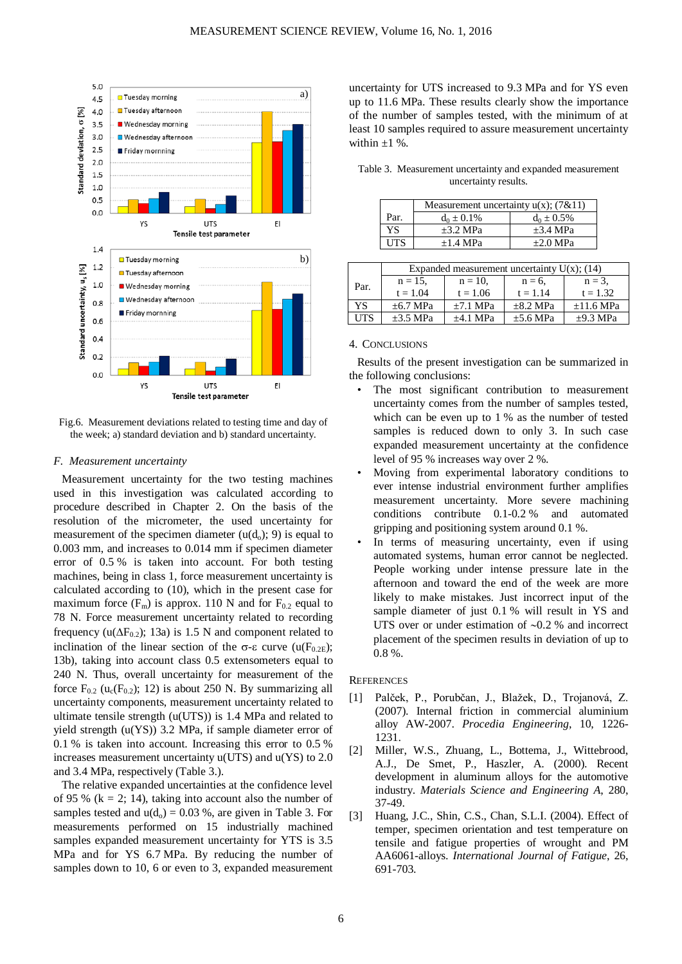

Fig.6. Measurement deviations related to testing time and day of the week; a) standard deviation and b) standard uncertainty.

#### *F. Measurement uncertainty*

Measurement uncertainty for the two testing machines used in this investigation was calculated according to procedure described in Chapter 2. On the basis of the resolution of the micrometer, the used uncertainty for measurement of the specimen diameter  $(u(d<sub>o</sub>); 9)$  is equal to 0.003 mm, and increases to 0.014 mm if specimen diameter error of 0.5 % is taken into account. For both testing machines, being in class 1, force measurement uncertainty is calculated according to (10), which in the present case for maximum force  $(F_m)$  is approx. 110 N and for  $F_{0,2}$  equal to 78 N. Force measurement uncertainty related to recording frequency (u( $\Delta F_{0.2}$ ); 13a) is 1.5 N and component related to inclination of the linear section of the  $\sigma$ -ε curve (u(F<sub>0.2E</sub>); 13b), taking into account class 0.5 extensometers equal to 240 N. Thus, overall uncertainty for measurement of the force  $F_{0.2}$  (u<sub>c</sub>( $F_{0.2}$ ); 12) is about 250 N. By summarizing all uncertainty components, measurement uncertainty related to ultimate tensile strength (u(UTS)) is 1.4 MPa and related to yield strength (u(YS)) 3.2 MPa, if sample diameter error of 0.1 % is taken into account. Increasing this error to 0.5 % increases measurement uncertainty u(UTS) and u(YS) to 2.0 and 3.4 MPa, respectively (Table 3.).

The relative expanded uncertainties at the confidence level of 95 % ( $k = 2$ ; 14), taking into account also the number of samples tested and  $u(d_0) = 0.03$  %, are given in Table 3. For measurements performed on 15 industrially machined samples expanded measurement uncertainty for YTS is 3.5 MPa and for YS 6.7 MPa. By reducing the number of samples down to 10, 6 or even to 3, expanded measurement uncertainty for UTS increased to 9.3 MPa and for YS even up to 11.6 MPa. These results clearly show the importance of the number of samples tested, with the minimum of at least 10 samples required to assure measurement uncertainty within  $\pm 1$  %.

| Table 3. Measurement uncertainty and expanded measurement |
|-----------------------------------------------------------|
| uncertainty results.                                      |

|      | Measurement uncertainty $u(x)$ ; (7&11) |                 |  |
|------|-----------------------------------------|-----------------|--|
| Par. | $d_0 \pm 0.1\%$                         | $d_0 \pm 0.5\%$ |  |
| YS   | $\pm 3.2$ MPa                           | $\pm 3.4$ MPa   |  |
| UTS  | $+1.4$ MPa                              | $+2.0$ MPa      |  |
|      |                                         |                 |  |

|      | Expanded measurement uncertainty $U(x)$ ; (14) |            |               |                |  |
|------|------------------------------------------------|------------|---------------|----------------|--|
| Par. | $n = 15$ ,                                     | $n = 10$ , | $n = 6$       | $n = 3$ ,      |  |
|      | $t = 1.04$                                     | $t = 1.06$ | $t = 1.14$    | $t = 1.32$     |  |
| YS.  | $+6.7$ MPa                                     | $+7.1$ MPa | $+8.2$ MPa    | $\pm 11.6$ MPa |  |
| UTS  | $\pm 3.5$ MPa                                  | $+4.1$ MPa | $\pm 5.6$ MPa | $\pm$ 9.3 MPa  |  |

### 4. CONCLUSIONS

Results of the present investigation can be summarized in the following conclusions:

- The most significant contribution to measurement uncertainty comes from the number of samples tested, which can be even up to 1 % as the number of tested samples is reduced down to only 3. In such case expanded measurement uncertainty at the confidence level of 95 % increases way over 2 %.
- Moving from experimental laboratory conditions to ever intense industrial environment further amplifies measurement uncertainty. More severe machining conditions contribute 0.1-0.2 % and automated gripping and positioning system around 0.1 %.
- In terms of measuring uncertainty, even if using automated systems, human error cannot be neglected. People working under intense pressure late in the afternoon and toward the end of the week are more likely to make mistakes. Just incorrect input of the sample diameter of just 0.1 % will result in YS and UTS over or under estimation of ∼0.2 % and incorrect placement of the specimen results in deviation of up to 0.8 %.

# **REFERENCES**

- [1] Palček, P., Porubčan, J., Blažek, D., Trojanová, Z. (2007). Internal friction in commercial aluminium alloy AW-2007. *Procedia Engineering*, 10, 1226- 1231.
- [2] Miller, W.S., Zhuang, L., Bottema, J., Wittebrood, A.J., De Smet, P., Haszler, A. (2000). Recent development in aluminum alloys for the automotive industry. *Materials Science and Engineering A*, 280, 37-49.
- [3] Huang, J.C., Shin, C.S., Chan, S.L.I. (2004). Effect of temper, specimen orientation and test temperature on tensile and fatigue properties of wrought and PM AA6061-alloys. *International Journal of Fatigue*, 26, 691-703.